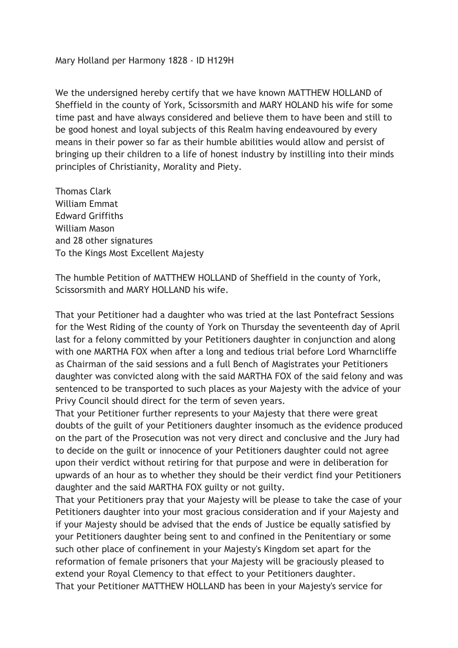Mary Holland per Harmony 1828 - ID H129H

We the undersigned hereby certify that we have known MATTHEW HOLLAND of Sheffield in the county of York, Scissorsmith and MARY HOLAND his wife for some time past and have always considered and believe them to have been and still to be good honest and loyal subjects of this Realm having endeavoured by every means in their power so far as their humble abilities would allow and persist of bringing up their children to a life of honest industry by instilling into their minds principles of Christianity, Morality and Piety.

Thomas Clark William Emmat Edward Griffiths William Mason and 28 other signatures To the Kings Most Excellent Majesty

The humble Petition of MATTHEW HOLLAND of Sheffield in the county of York, Scissorsmith and MARY HOLLAND his wife.

That your Petitioner had a daughter who was tried at the last Pontefract Sessions for the West Riding of the county of York on Thursday the seventeenth day of April last for a felony committed by your Petitioners daughter in conjunction and along with one MARTHA FOX when after a long and tedious trial before Lord Wharncliffe as Chairman of the said sessions and a full Bench of Magistrates your Petitioners daughter was convicted along with the said MARTHA FOX of the said felony and was sentenced to be transported to such places as your Majesty with the advice of your Privy Council should direct for the term of seven years.

That your Petitioner further represents to your Majesty that there were great doubts of the guilt of your Petitioners daughter insomuch as the evidence produced on the part of the Prosecution was not very direct and conclusive and the Jury had to decide on the guilt or innocence of your Petitioners daughter could not agree upon their verdict without retiring for that purpose and were in deliberation for upwards of an hour as to whether they should be their verdict find your Petitioners daughter and the said MARTHA FOX guilty or not guilty.

That your Petitioners pray that your Majesty will be please to take the case of your Petitioners daughter into your most gracious consideration and if your Majesty and if your Majesty should be advised that the ends of Justice be equally satisfied by your Petitioners daughter being sent to and confined in the Penitentiary or some such other place of confinement in your Majesty's Kingdom set apart for the reformation of female prisoners that your Majesty will be graciously pleased to extend your Royal Clemency to that effect to your Petitioners daughter. That your Petitioner MATTHEW HOLLAND has been in your Majesty's service for